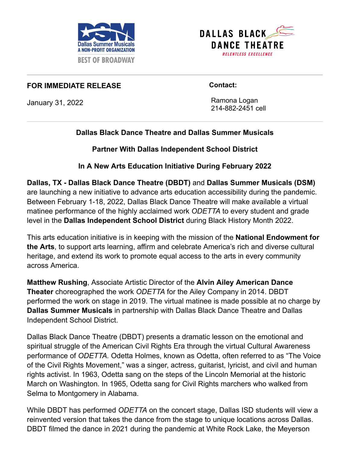



## **FOR IMMEDIATE RELEASE**

January 31, 2022

 **Contact:**

 Ramona Logan 214-882-2451 cell

## **Dallas Black Dance Theatre and Dallas Summer Musicals**

**Partner With Dallas Independent School District**

**In A New Arts Education Initiative During February 2022**

**Dallas, TX - Dallas Black Dance Theatre (DBDT)** and **Dallas Summer Musicals (DSM)** are launching a new initiative to advance arts education accessibility during the pandemic. Between February 1-18, 2022, Dallas Black Dance Theatre will make available a virtual matinee performance of the highly acclaimed work *ODETTA* to every student and grade level in the **Dallas Independent School District** during Black History Month 2022.

This arts education initiative is in keeping with the mission of the **National Endowment for the Arts**, to support arts learning, affirm and celebrate America's rich and diverse cultural heritage, and extend its work to promote equal access to the arts in every community across America.

**Matthew Rushing**, Associate Artistic Director of the **Alvin Ailey American Dance Theater** choreographed the work *ODETTA* for the Ailey Company in 2014. DBDT performed the work on stage in 2019. The virtual matinee is made possible at no charge by **Dallas Summer Musicals** in partnership with Dallas Black Dance Theatre and Dallas Independent School District.

Dallas Black Dance Theatre (DBDT) presents a dramatic lesson on the emotional and spiritual struggle of the American Civil Rights Era through the virtual Cultural Awareness performance of *ODETTA.* Odetta Holmes, known as Odetta, often referred to as "The Voice of the Civil Rights Movement," was a singer, actress, guitarist, lyricist, and civil and human rights activist. In 1963, Odetta sang on the steps of the Lincoln Memorial at the historic March on Washington. In 1965, Odetta sang for Civil Rights marchers who walked from Selma to Montgomery in Alabama.

While DBDT has performed *ODETTA* on the concert stage, Dallas ISD students will view a reinvented version that takes the dance from the stage to unique locations across Dallas. DBDT filmed the dance in 2021 during the pandemic at White Rock Lake, the Meyerson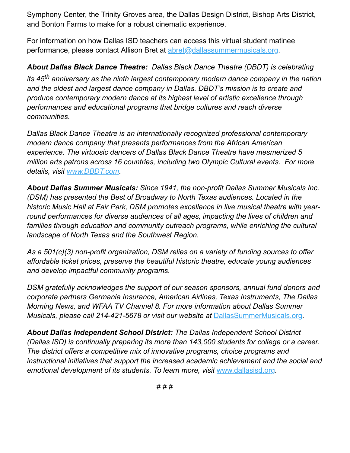Symphony Center, the Trinity Groves area, the Dallas Design District, Bishop Arts District, and Bonton Farms to make for a robust cinematic experience.

For information on how Dallas ISD teachers can access this virtual student matinee performance, please contact Allison Bret at [abret@dallassummermusicals.org.](mailto:abret@dallassummermusicals.org)

*About Dallas Black Dance Theatre: Dallas Black Dance Theatre (DBDT) is celebrating its 45th anniversary as the ninth largest contemporary modern dance company in the nation and the oldest and largest dance company in Dallas. DBDT's mission is to create and produce contemporary modern dance at its highest level of artistic excellence through performances and educational programs that bridge cultures and reach diverse communities.*

*Dallas Black Dance Theatre is an internationally recognized professional contemporary modern dance company that presents performances from the African American experience. The virtuosic dancers of Dallas Black Dance Theatre have mesmerized 5 million arts patrons across 16 countries, including two Olympic Cultural events. For more details, visit [www.DBDT.com.](https://dbdt.com/)*

*About Dallas Summer Musicals: Since 1941, the non-profit Dallas Summer Musicals Inc. (DSM) has presented the Best of Broadway to North Texas audiences. Located in the historic Music Hall at Fair Park, DSM promotes excellence in live musical theatre with yearround performances for diverse audiences of all ages, impacting the lives of children and families through education and community outreach programs, while enriching the cultural landscape of North Texas and the Southwest Region.*

*As a 501(c)(3) non-profit organization, DSM relies on a variety of funding sources to offer affordable ticket prices, preserve the beautiful historic theatre, educate young audiences and develop impactful community programs.*

*DSM gratefully acknowledges the support of our season sponsors, annual fund donors and corporate partners Germania Insurance, American Airlines, Texas Instruments, The Dallas Morning News, and WFAA TV Channel 8. For more information about Dallas Summer Musicals, please call 214-421-5678 or visit our website at [DallasSummerMusicals.org](http://www.dallassummermusicals.org/).* 

*About Dallas Independent School District: The Dallas Independent School District (Dallas ISD) is continually preparing its more than 143,000 students for college or a career. The district offers a competitive mix of innovative programs, choice programs and instructional initiatives that support the increased academic achievement and the social and emotional development of its students. To learn more, visit* [www.dallasisd.org](http://www.dallasisd.org/)*.*